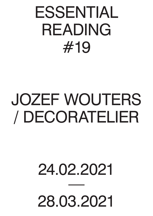## ESSENTIAL READING #19

## JOZEF WOUTERS / DECORATELIER

## 24.02.2021

28.03.2021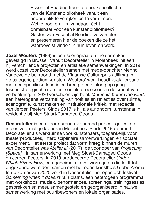Essential Reading tracht de boekencollectie van de Kunstenbibliotheek vanuit een andere blik te verrijken en te verruimen. Welke boeken zijn, vandaag, écht onmisbaar voor een kunstenbibliotheek? Gasten van Essential Reading verzamelen en presenteren hier de boeken die ze het waardevolst vinden in hun leven en werk.

**Jozef Wouters** (1986) is een scenograaf en theatermaker gevestigd in Brussel. Vanuit Decoratelier in Molenbeek initieert hij verschillende projecten en artistieke samenwerkingen. In 2019 werd Jozef voor Decoratelier samen met mede-oprichter Menno Vandevelde bekroond met de Vlaamse Cultuurprijs (Ultima) in de categorie podiumkunsten. Wouters' werk houdt vaak verband met een specifieke locatie en brengt een dialoog op gang tussen strategische ruimtes, sociale processen en de kracht van verbeelding. In 2020 verscheen zijn boek *Moments before the wind*, een heterogene verzameling van notities en reflecties over ruimte, scenografie, kunst maken en institutionele kritiek, met redactie van Jeroen Peeters. Sinds 2017 is hij als autonoom kunstenaar in residentie bij Meg Stuart/Damaged Goods.

**Decoratelier** is een voortdurend evoluerend project, gevestigd in een voormalige fabriek in Molenbeek. Sinds 2016 opereert Decoratelier als werkruimte voor kunstenaars, toegankelijk voor theaterproducties, interdisciplinaire samenwerkingen en sociaal experiment. Het eerste project dat vorm kreeg binnen de muren van Decoratelier was *Atelier III* (2017), de voorloper van *Projecting [Space[* , in samenwerking met Meg Stuart/Damaged Goods en Jeroen Peeters. In 2019 produceerde Decoratelier *Under Which Rivers Flow,* een geheime tuin vol wormgaten die leidt tot ongekende werelden, samen met het open kunsthuis Globe Aroma. In de zomer van 2020 vond in Decoratelier het openluchtfestival S*omething when it doesn't rain* plaats, een heterogeen programma met workshops, muziek, performances, screenings, trainingsessies, gesprekken en meer, samengesteld en georganiseerd in nauwe samenwerking met buurtbewoners en lokale organisaties.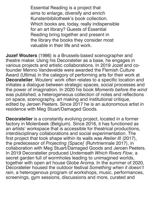Essential Reading is a project that aims to enlarge, diversify and enrich Kunstenbibliotheek's book collection. Which books are, today, really indispensible for an art library? Guests of Essential Reading bring together and present in the library the books they consider most valuable in their life and work.

**Jozef Wouters** (1986) is a Brussels-based scenographer and theatre maker. Using his Decoratelier as a base, he engages in various projects and artistic collaborations. In 2019 Jozef and cofounder Menno Vandevelde were awarded the Flemish Culture Award (Ultima) in the category of performing arts for their work at **Decoratelier**. Wouters' work often relates to a specific location and initiates a dialogue between strategic spaces, social processes and the power of imagination. In 2020 his book *Moments before the wind*  was published, a heterogeneous collection of notes and reflections on space, scenography, art making and institutional critique, edited by Jeroen Peeters. Since 2017 he is an autonomous artist in residence with Meg Stuart/Damaged Goods.

**Decoratelier** is a constantly evolving project, located in a former factory in Molenbeek (Belgium). Since 2016, it has functioned as an artists' workspace that is accessible for theatrical productions, interdisciplinary collaborations and social experimentation. The first project that took shape within its walls was *Atelier III* (2017), the predecessor of *Projecting [Space[* (Ruhrtriennale 2017), in collaboration with Meg Stuart/Damaged Goods and Jeroen Peeters. In 2019 Decoratelier produced *Underneath Which Rivers Flow*, a secret garden full of wormholes leading to unimagined worlds, together with open art house Globe Aroma. In the summer of 2020, Decoratelier housed the outdoor festival *Something when it doesn't rain*, a heterogenous program of workshops, music, performances, screenings, gym sessions, discussions and more, curated and